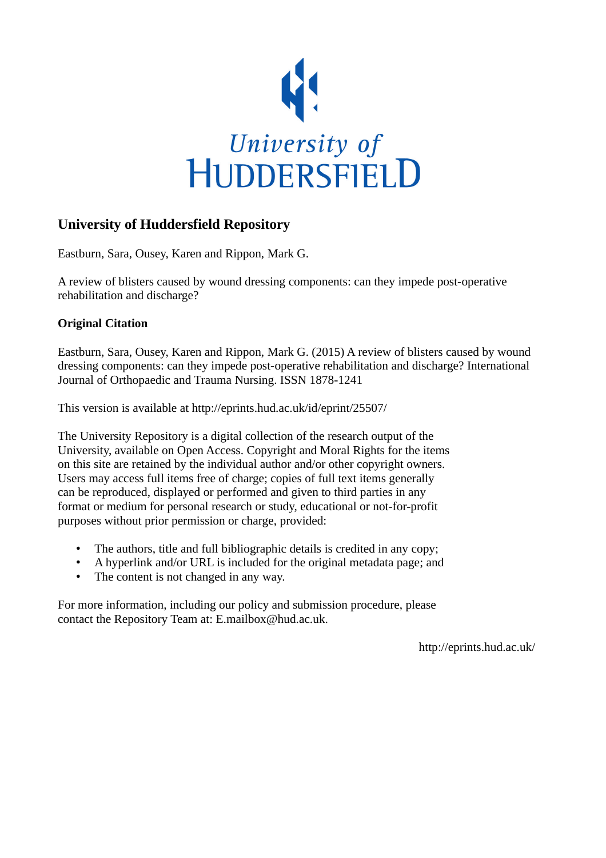

# **University of Huddersfield Repository**

Eastburn, Sara, Ousey, Karen and Rippon, Mark G.

A review of blisters caused by wound dressing components: can they impede post-operative rehabilitation and discharge?

## **Original Citation**

Eastburn, Sara, Ousey, Karen and Rippon, Mark G. (2015) A review of blisters caused by wound dressing components: can they impede post-operative rehabilitation and discharge? International Journal of Orthopaedic and Trauma Nursing. ISSN 1878-1241

This version is available at http://eprints.hud.ac.uk/id/eprint/25507/

The University Repository is a digital collection of the research output of the University, available on Open Access. Copyright and Moral Rights for the items on this site are retained by the individual author and/or other copyright owners. Users may access full items free of charge; copies of full text items generally can be reproduced, displayed or performed and given to third parties in any format or medium for personal research or study, educational or not-for-profit purposes without prior permission or charge, provided:

- The authors, title and full bibliographic details is credited in any copy;
- A hyperlink and/or URL is included for the original metadata page; and
- The content is not changed in any way.

For more information, including our policy and submission procedure, please contact the Repository Team at: E.mailbox@hud.ac.uk.

http://eprints.hud.ac.uk/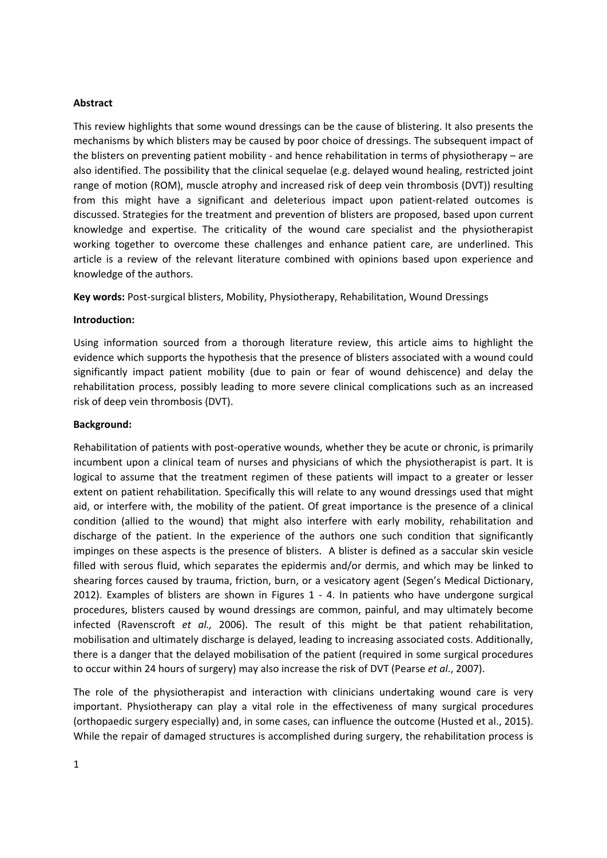#### **Abstract**

This review highlights that some wound dressings can be the cause of blistering. It also presents the mechanisms by which blisters may be caused by poor choice of dressings. The subsequent impact of the blisters on preventing patient mobility - and hence rehabilitation in terms of physiotherapy – are also identified. The possibility that the clinical sequelae (e.g. delayed wound healing, restricted joint range of motion (ROM), muscle atrophy and increased risk of deep vein thrombosis (DVT)) resulting from this might have a significant and deleterious impact upon patient-related outcomes is discussed. Strategies for the treatment and prevention of blisters are proposed, based upon current knowledge and expertise. The criticality of the wound care specialist and the physiotherapist working together to overcome these challenges and enhance patient care, are underlined. This article is a review of the relevant literature combined with opinions based upon experience and knowledge of the authors.

**Key words:** Post‐surgical blisters, Mobility, Physiotherapy, Rehabilitation, Wound Dressings

#### **Introduction:**

Using information sourced from a thorough literature review, this article aims to highlight the evidence which supports the hypothesis that the presence of blisters associated with a wound could significantly impact patient mobility (due to pain or fear of wound dehiscence) and delay the rehabilitation process, possibly leading to more severe clinical complications such as an increased risk of deep vein thrombosis (DVT).

#### **Background:**

Rehabilitation of patients with post-operative wounds, whether they be acute or chronic, is primarily incumbent upon a clinical team of nurses and physicians of which the physiotherapist is part. It is logical to assume that the treatment regimen of these patients will impact to a greater or lesser extent on patient rehabilitation. Specifically this will relate to any wound dressings used that might aid, or interfere with, the mobility of the patient. Of great importance is the presence of a clinical condition (allied to the wound) that might also interfere with early mobility, rehabilitation and discharge of the patient. In the experience of the authors one such condition that significantly impinges on these aspects is the presence of blisters. A blister is defined as a saccular skin vesicle filled with serous fluid, which separates the epidermis and/or dermis, and which may be linked to shearing forces caused by trauma, friction, burn, or a vesicatory agent (Segen's Medical Dictionary, 2012). Examples of blisters are shown in Figures 1 - 4. In patients who have undergone surgical procedures, blisters caused by wound dressings are common, painful, and may ultimately become infected (Ravenscroft *et al.,* 2006). The result of this might be that patient rehabilitation, mobilisation and ultimately discharge is delayed, leading to increasing associated costs. Additionally, there is a danger that the delayed mobilisation of the patient (required in some surgical procedures to occur within 24 hours of surgery) may also increase the risk of DVT (Pearse *et al*., 2007).

The role of the physiotherapist and interaction with clinicians undertaking wound care is very important. Physiotherapy can play a vital role in the effectiveness of many surgical procedures (orthopaedic surgery especially) and, in some cases, can influence the outcome (Husted et al., 2015). While the repair of damaged structures is accomplished during surgery, the rehabilitation process is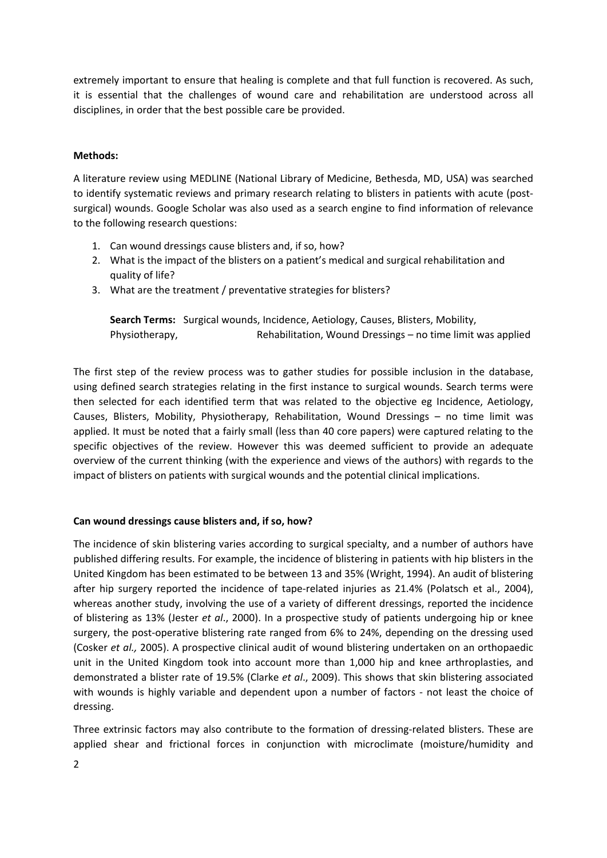extremely important to ensure that healing is complete and that full function is recovered. As such, it is essential that the challenges of wound care and rehabilitation are understood across all disciplines, in order that the best possible care be provided.

### **Methods:**

A literature review using MEDLINE (National Library of Medicine, Bethesda, MD, USA) was searched to identify systematic reviews and primary research relating to blisters in patients with acute (postsurgical) wounds. Google Scholar was also used as a search engine to find information of relevance to the following research questions:

- 1. Can wound dressings cause blisters and, if so, how?
- 2. What is the impact of the blisters on a patient's medical and surgical rehabilitation and quality of life?
- 3. What are the treatment / preventative strategies for blisters?

**Search Terms:**  Surgical wounds, Incidence, Aetiology, Causes, Blisters, Mobility, Physiotherapy, *Rehabilitation, Wound Dressings – no time limit was applied* 

The first step of the review process was to gather studies for possible inclusion in the database, using defined search strategies relating in the first instance to surgical wounds. Search terms were then selected for each identified term that was related to the objective eg Incidence, Aetiology, Causes, Blisters, Mobility, Physiotherapy, Rehabilitation, Wound Dressings – no time limit was applied. It must be noted that a fairly small (less than 40 core papers) were captured relating to the specific objectives of the review. However this was deemed sufficient to provide an adequate overview of the current thinking (with the experience and views of the authors) with regards to the impact of blisters on patients with surgical wounds and the potential clinical implications.

### **Can wound dressings cause blisters and, if so, how?**

The incidence of skin blistering varies according to surgical specialty, and a number of authors have published differing results. For example, the incidence of blistering in patients with hip blisters in the United Kingdom has been estimated to be between 13 and 35% (Wright, 1994). An audit of blistering after hip surgery reported the incidence of tape-related injuries as 21.4% (Polatsch et al., 2004), whereas another study, involving the use of a variety of different dressings, reported the incidence of blistering as 13% (Jester *et al*., 2000). In a prospective study of patients undergoing hip or knee surgery, the post-operative blistering rate ranged from 6% to 24%, depending on the dressing used (Cosker *et al.,* 2005). A prospective clinical audit of wound blistering undertaken on an orthopaedic unit in the United Kingdom took into account more than 1,000 hip and knee arthroplasties, and demonstrated a blister rate of 19.5% (Clarke *et al*., 2009). This shows that skin blistering associated with wounds is highly variable and dependent upon a number of factors - not least the choice of dressing.

Three extrinsic factors may also contribute to the formation of dressing-related blisters. These are applied shear and frictional forces in conjunction with microclimate (moisture/humidity and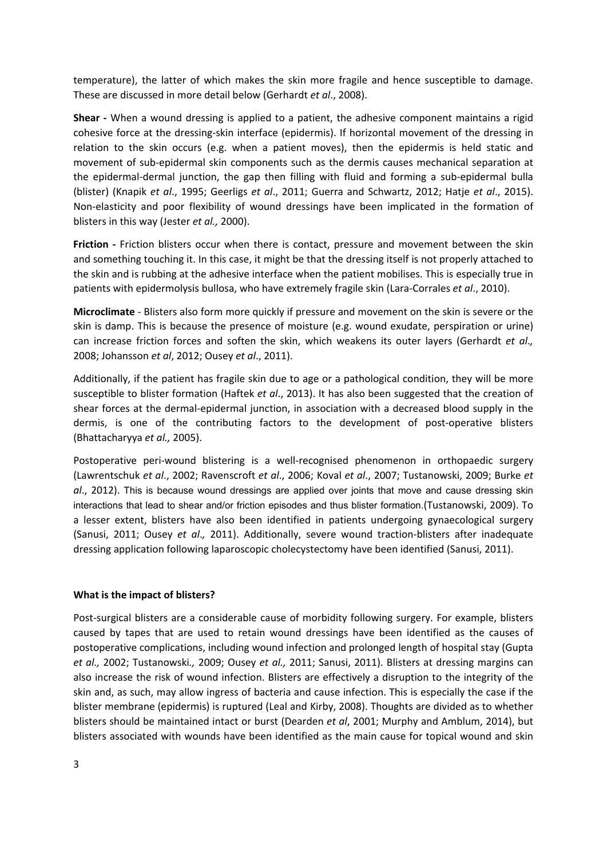temperature), the latter of which makes the skin more fragile and hence susceptible to damage. These are discussed in more detail below (Gerhardt *et al*., 2008).

**Shear** - When a wound dressing is applied to a patient, the adhesive component maintains a rigid cohesive force at the dressing‐skin interface (epidermis). If horizontal movement of the dressing in relation to the skin occurs (e.g. when a patient moves), then the epidermis is held static and movement of sub‐epidermal skin components such as the dermis causes mechanical separation at the epidermal-dermal junction, the gap then filling with fluid and forming a sub-epidermal bulla (blister) (Knapik *et al*., 1995; Geerligs *et al*., 2011; Guerra and Schwartz, 2012; Hatje *et al*., 2015). Non-elasticity and poor flexibility of wound dressings have been implicated in the formation of blisters in this way (Jester *et al.,* 2000).

Friction - Friction blisters occur when there is contact, pressure and movement between the skin and something touching it. In this case, it might be that the dressing itself is not properly attached to the skin and is rubbing at the adhesive interface when the patient mobilises. This is especially true in patients with epidermolysis bullosa, who have extremely fragile skin (Lara‐Corrales *et al*., 2010).

**Microclimate** ‐ Blisters also form more quickly if pressure and movement on the skin is severe or the skin is damp. This is because the presence of moisture (e.g. wound exudate, perspiration or urine) can increase friction forces and soften the skin, which weakens its outer layers (Gerhardt *et al*.*,* 2008; Johansson *et al*, 2012; Ousey *et al*., 2011).

Additionally, if the patient has fragile skin due to age or a pathological condition, they will be more susceptible to blister formation (Haftek *et al*., 2013). It has also been suggested that the creation of shear forces at the dermal‐epidermal junction, in association with a decreased blood supply in the dermis, is one of the contributing factors to the development of post-operative blisters (Bhattacharyya *et al.,* 2005).

Postoperative peri‐wound blistering is a well‐recognised phenomenon in orthopaedic surgery (Lawrentschuk *et al*., 2002; Ravenscroft *et al*., 2006; Koval *et al*., 2007; Tustanowski, 2009; Burke *et al*., 2012). This is because wound dressings are applied over joints that move and cause dressing skin interactions that lead to shear and/or friction episodes and thus blister formation.(Tustanowski, 2009). To a lesser extent, blisters have also been identified in patients undergoing gynaecological surgery (Sanusi, 2011; Ousey *et al*.*,* 2011). Additionally, severe wound traction‐blisters after inadequate dressing application following laparoscopic cholecystectomy have been identified (Sanusi, 2011).

### **What is the impact of blisters?**

Post-surgical blisters are a considerable cause of morbidity following surgery. For example, blisters caused by tapes that are used to retain wound dressings have been identified as the causes of postoperative complications, including wound infection and prolonged length of hospital stay (Gupta *et al.,* 2002; Tustanowski*.,* 2009; Ousey *et al.,* 2011; Sanusi, 2011). Blisters at dressing margins can also increase the risk of wound infection. Blisters are effectively a disruption to the integrity of the skin and, as such, may allow ingress of bacteria and cause infection. This is especially the case if the blister membrane (epidermis) is ruptured (Leal and Kirby, 2008). Thoughts are divided as to whether blisters should be maintained intact or burst (Dearden *et al*, 2001; Murphy and Amblum, 2014), but blisters associated with wounds have been identified as the main cause for topical wound and skin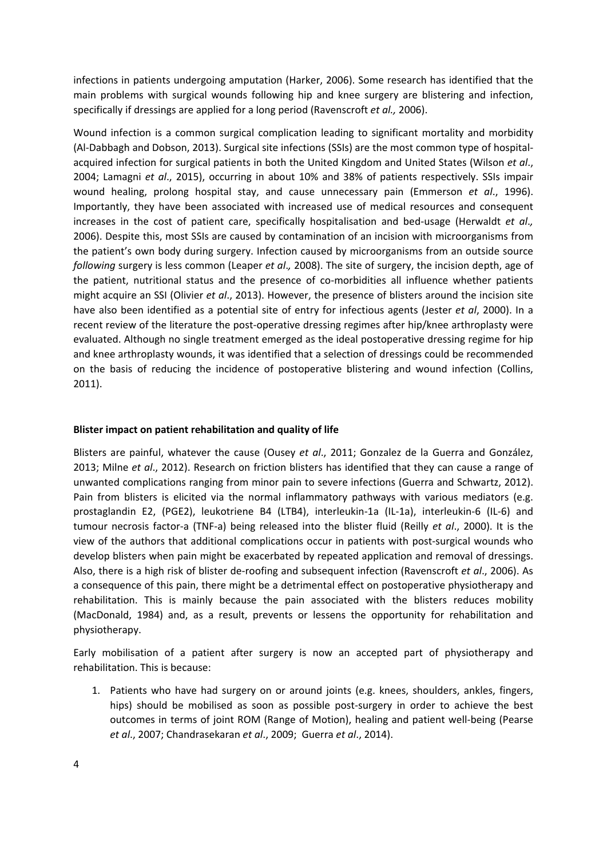infections in patients undergoing amputation (Harker, 2006). Some research has identified that the main problems with surgical wounds following hip and knee surgery are blistering and infection, specifically if dressings are applied for a long period (Ravenscroft *et al.,* 2006).

Wound infection is a common surgical complication leading to significant mortality and morbidity (Al‐Dabbagh and Dobson, 2013). Surgical site infections (SSIs) are the most common type of hospital‐ acquired infection for surgical patients in both the United Kingdom and United States (Wilson *et al*., 2004; Lamagni *et al*., 2015), occurring in about 10% and 38% of patients respectively. SSIs impair wound healing, prolong hospital stay, and cause unnecessary pain (Emmerson *et al*., 1996). Importantly, they have been associated with increased use of medical resources and consequent increases in the cost of patient care, specifically hospitalisation and bed‐usage (Herwaldt *et al*.*,* 2006). Despite this, most SSIs are caused by contamination of an incision with microorganisms from the patient's own body during surgery. Infection caused by microorganisms from an outside source *following* surgery is less common (Leaper *et al*.*,* 2008). The site of surgery, the incision depth, age of the patient, nutritional status and the presence of co-morbidities all influence whether patients might acquire an SSI (Olivier *et al*., 2013). However, the presence of blisters around the incision site have also been identified as a potential site of entry for infectious agents (Jester *et al*, 2000). In a recent review of the literature the post-operative dressing regimes after hip/knee arthroplasty were evaluated. Although no single treatment emerged as the ideal postoperative dressing regime for hip and knee arthroplasty wounds, it was identified that a selection of dressings could be recommended on the basis of reducing the incidence of postoperative blistering and wound infection (Collins, 2011).

### **Blister impact on patient rehabilitation and quality of life**

Blisters are painful, whatever the cause (Ousey *et al*., 2011; Gonzalez de la Guerra and González, 2013; Milne *et al*., 2012). Research on friction blisters has identified that they can cause a range of unwanted complications ranging from minor pain to severe infections (Guerra and Schwartz, 2012). Pain from blisters is elicited via the normal inflammatory pathways with various mediators (e.g. prostaglandin E2, (PGE2), leukotriene B4 (LTB4), interleukin‐1a (IL‐1a), interleukin‐6 (IL‐6) and tumour necrosis factor‐a (TNF‐a) being released into the blister fluid (Reilly *et al*., 2000). It is the view of the authors that additional complications occur in patients with post-surgical wounds who develop blisters when pain might be exacerbated by repeated application and removal of dressings. Also, there is a high risk of blister de‐roofing and subsequent infection (Ravenscroft *et al*., 2006). As a consequence of this pain, there might be a detrimental effect on postoperative physiotherapy and rehabilitation. This is mainly because the pain associated with the blisters reduces mobility (MacDonald, 1984) and, as a result, prevents or lessens the opportunity for rehabilitation and physiotherapy.

Early mobilisation of a patient after surgery is now an accepted part of physiotherapy and rehabilitation. This is because:

1. Patients who have had surgery on or around joints (e.g. knees, shoulders, ankles, fingers, hips) should be mobilised as soon as possible post-surgery in order to achieve the best outcomes in terms of joint ROM (Range of Motion), healing and patient well‐being (Pearse *et al*., 2007; Chandrasekaran *et al*., 2009; Guerra *et al*., 2014).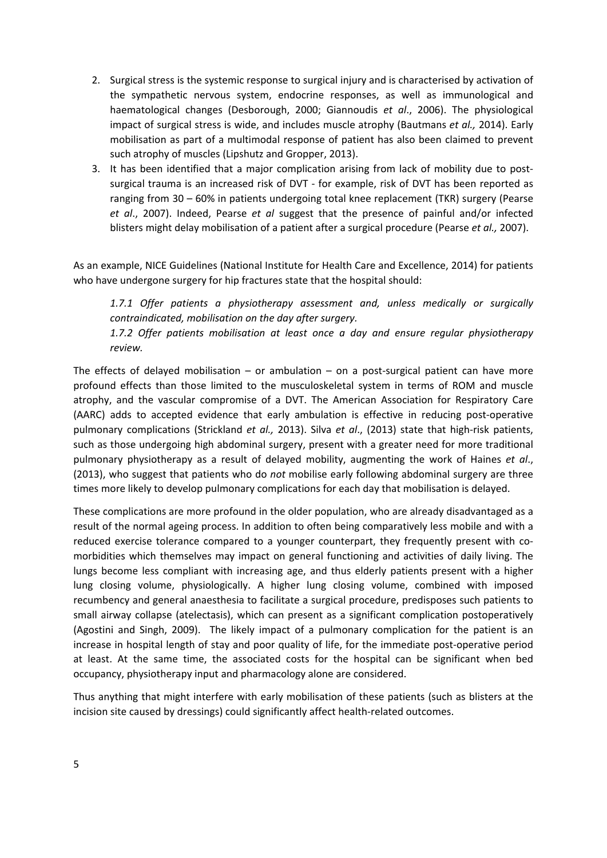- 2. Surgical stress is the systemic response to surgical injury and is characterised by activation of the sympathetic nervous system, endocrine responses, as well as immunological and haematological changes (Desborough, 2000; Giannoudis *et al*., 2006). The physiological impact of surgical stress is wide, and includes muscle atrophy (Bautmans *et al.,* 2014). Early mobilisation as part of a multimodal response of patient has also been claimed to prevent such atrophy of muscles (Lipshutz and Gropper, 2013).
- 3. It has been identified that a major complication arising from lack of mobility due to postsurgical trauma is an increased risk of DVT - for example, risk of DVT has been reported as ranging from 30 – 60% in patients undergoing total knee replacement (TKR) surgery (Pearse *et al*., 2007). Indeed, Pearse *et al* suggest that the presence of painful and/or infected blisters might delay mobilisation of a patient after a surgical procedure (Pearse *et al.,* 2007).

As an example, NICE Guidelines (National Institute for Health Care and Excellence, 2014) for patients who have undergone surgery for hip fractures state that the hospital should:

*1.7.1 Offer patients a physiotherapy assessment and, unless medically or surgically contraindicated, mobilisation on the day after surgery.*

*1.7.2 Offer patients mobilisation at least once a day and ensure regular physiotherapy review.*

The effects of delayed mobilisation – or ambulation – on a post-surgical patient can have more profound effects than those limited to the musculoskeletal system in terms of ROM and muscle atrophy, and the vascular compromise of a DVT. The American Association for Respiratory Care (AARC) adds to accepted evidence that early ambulation is effective in reducing post‐operative pulmonary complications (Strickland *et al.,* 2013). Silva *et al*., (2013) state that high‐risk patients, such as those undergoing high abdominal surgery, present with a greater need for more traditional pulmonary physiotherapy as a result of delayed mobility, augmenting the work of Haines *et al*., (2013), who suggest that patients who do *not* mobilise early following abdominal surgery are three times more likely to develop pulmonary complications for each day that mobilisation is delayed.

These complications are more profound in the older population, who are already disadvantaged as a result of the normal ageing process. In addition to often being comparatively less mobile and with a reduced exercise tolerance compared to a younger counterpart, they frequently present with comorbidities which themselves may impact on general functioning and activities of daily living. The lungs become less compliant with increasing age, and thus elderly patients present with a higher lung closing volume, physiologically. A higher lung closing volume, combined with imposed recumbency and general anaesthesia to facilitate a surgical procedure, predisposes such patients to small airway collapse (atelectasis), which can present as a significant complication postoperatively (Agostini and Singh, 2009). The likely impact of a pulmonary complication for the patient is an increase in hospital length of stay and poor quality of life, for the immediate post-operative period at least. At the same time, the associated costs for the hospital can be significant when bed occupancy, physiotherapy input and pharmacology alone are considered.

Thus anything that might interfere with early mobilisation of these patients (such as blisters at the incision site caused by dressings) could significantly affect health‐related outcomes.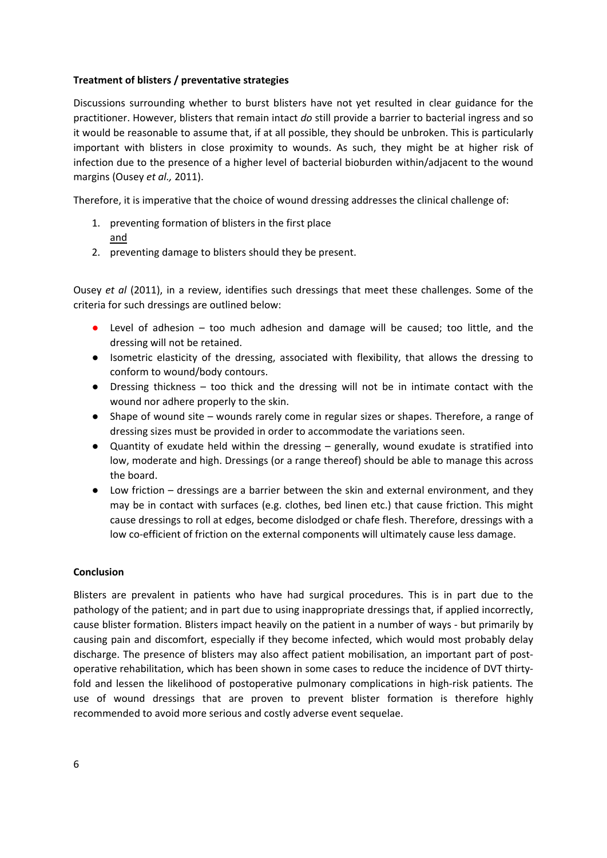### **Treatment of blisters / preventative strategies**

Discussions surrounding whether to burst blisters have not yet resulted in clear guidance for the practitioner. However, blisters that remain intact *do* still provide a barrier to bacterial ingress and so it would be reasonable to assume that, if at all possible, they should be unbroken. This is particularly important with blisters in close proximity to wounds. As such, they might be at higher risk of infection due to the presence of a higher level of bacterial bioburden within/adjacent to the wound margins (Ousey *et al.,* 2011).

Therefore, it is imperative that the choice of wound dressing addresses the clinical challenge of:

- 1. preventing formation of blisters in the first place and
- 2. preventing damage to blisters should they be present.

Ousey *et al* (2011), in a review, identifies such dressings that meet these challenges. Some of the criteria for such dressings are outlined below:

- Level of adhesion too much adhesion and damage will be caused; too little, and the dressing will not be retained.
- Isometric elasticity of the dressing, associated with flexibility, that allows the dressing to conform to wound/body contours.
- Dressing thickness too thick and the dressing will not be in intimate contact with the wound nor adhere properly to the skin.
- Shape of wound site wounds rarely come in regular sizes or shapes. Therefore, a range of dressing sizes must be provided in order to accommodate the variations seen.
- Quantity of exudate held within the dressing generally, wound exudate is stratified into low, moderate and high. Dressings (or a range thereof) should be able to manage this across the board.
- Low friction dressings are a barrier between the skin and external environment, and they may be in contact with surfaces (e.g. clothes, bed linen etc.) that cause friction. This might cause dressings to roll at edges, become dislodged or chafe flesh. Therefore, dressings with a low co-efficient of friction on the external components will ultimately cause less damage.

### **Conclusion**

Blisters are prevalent in patients who have had surgical procedures. This is in part due to the pathology of the patient; and in part due to using inappropriate dressings that, if applied incorrectly, cause blister formation. Blisters impact heavily on the patient in a number of ways ‐ but primarily by causing pain and discomfort, especially if they become infected, which would most probably delay discharge. The presence of blisters may also affect patient mobilisation, an important part of postoperative rehabilitation, which has been shown in some cases to reduce the incidence of DVT thirty‐ fold and lessen the likelihood of postoperative pulmonary complications in high-risk patients. The use of wound dressings that are proven to prevent blister formation is therefore highly recommended to avoid more serious and costly adverse event sequelae.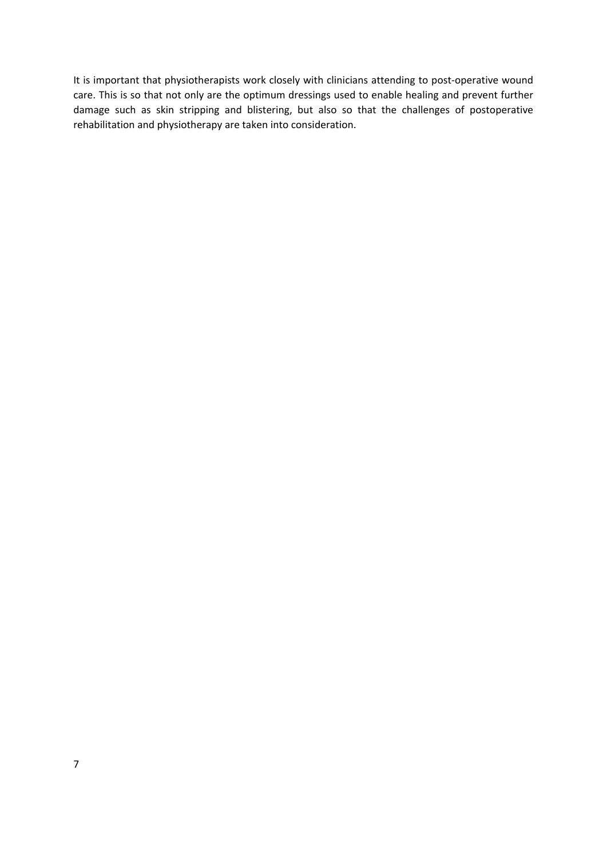It is important that physiotherapists work closely with clinicians attending to post-operative wound care. This is so that not only are the optimum dressings used to enable healing and prevent further damage such as skin stripping and blistering, but also so that the challenges of postoperative rehabilitation and physiotherapy are taken into consideration.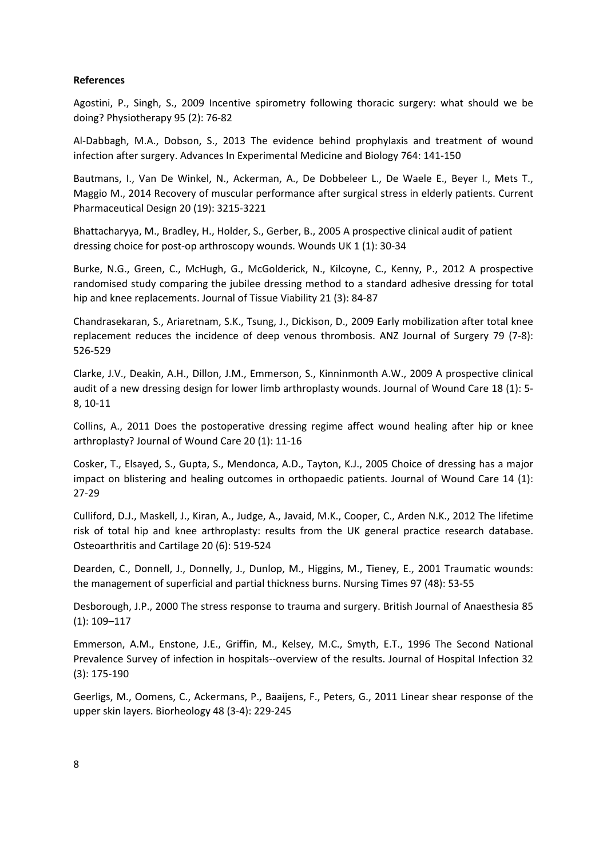### **References**

Agostini, P., Singh, S., 2009 Incentive spirometry following thoracic surgery: what should we be doing? Physiotherapy 95 (2): 76‐82

Al‐Dabbagh, M.A., Dobson, S., 2013 The evidence behind prophylaxis and treatment of wound infection after surgery. Advances In Experimental Medicine and Biology 764: 141‐150

Bautmans, I., Van De Winkel, N., Ackerman, A., De Dobbeleer L., De Waele E., Beyer I., Mets T., Maggio M., 2014 Recovery of muscular performance after surgical stress in elderly patients. Current Pharmaceutical Design 20 (19): 3215‐3221

Bhattacharyya, M., Bradley, H., Holder, S., Gerber, B., 2005 A prospective clinical audit of patient dressing choice for post-op arthroscopy wounds. Wounds UK 1 (1): 30-34

Burke, N.G., Green, C., McHugh, G., McGolderick, N., Kilcoyne, C., Kenny, P., 2012 A prospective randomised study comparing the jubilee dressing method to a standard adhesive dressing for total hip and knee replacements. Journal of Tissue Viability 21 (3): 84‐87

Chandrasekaran, S., Ariaretnam, S.K., Tsung, J., Dickison, D., 2009 Early mobilization after total knee replacement reduces the incidence of deep venous thrombosis. ANZ Journal of Surgery 79 (7‐8): 526‐529

Clarke, J.V., Deakin, A.H., Dillon, J.M., Emmerson, S., Kinninmonth A.W., 2009 A prospective clinical audit of a new dressing design for lower limb arthroplasty wounds. Journal of Wound Care 18 (1): 5‐ 8, 10‐11

Collins, A., 2011 Does the postoperative dressing regime affect wound healing after hip or knee arthroplasty? Journal of Wound Care 20 (1): 11‐16

Cosker, T., Elsayed, S., Gupta, S., Mendonca, A.D., Tayton, K.J., 2005 Choice of dressing has a major impact on blistering and healing outcomes in orthopaedic patients. Journal of Wound Care 14 (1): 27‐29

Culliford, D.J., Maskell, J., Kiran, A., Judge, A., Javaid, M.K., Cooper, C., Arden N.K., 2012 The lifetime risk of total hip and knee arthroplasty: results from the UK general practice research database. Osteoarthritis and Cartilage 20 (6): 519‐524

Dearden, C., Donnell, J., Donnelly, J., Dunlop, M., Higgins, M., Tieney, E., 2001 Traumatic wounds: the management of superficial and partial thickness burns. Nursing Times 97 (48): 53‐55

Desborough, J.P., 2000 The stress response to trauma and surgery. British Journal of Anaesthesia 85 (1): 109–117

Emmerson, A.M., Enstone, J.E., Griffin, M., Kelsey, M.C., Smyth, E.T., 1996 The Second National Prevalence Survey of infection in hospitals‐‐overview of the results. Journal of Hospital Infection 32 (3): 175‐190

Geerligs, M., Oomens, C., Ackermans, P., Baaijens, F., Peters, G., 2011 Linear shear response of the upper skin layers. Biorheology 48 (3‐4): 229‐245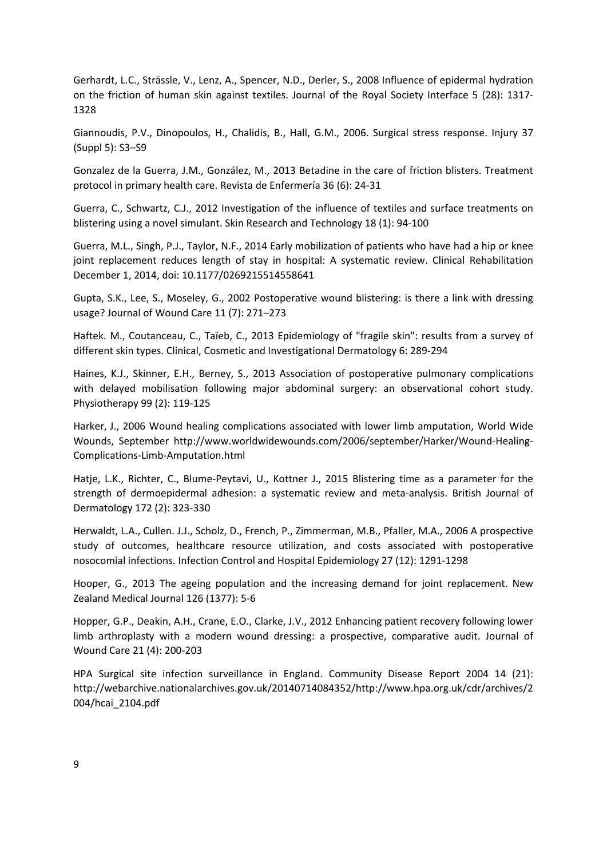Gerhardt, L.C., Strässle, V., Lenz, A., Spencer, N.D., Derler, S., 2008 Influence of epidermal hydration on the friction of human skin against textiles. Journal of the Royal Society Interface 5 (28): 1317‐ 1328

Giannoudis, P.V., Dinopoulos, H., Chalidis, B., Hall, G.M., 2006. Surgical stress response. Injury 37 (Suppl 5): S3–S9

Gonzalez de la Guerra, J.M., González, M., 2013 Betadine in the care of friction blisters. Treatment protocol in primary health care. Revista de Enfermería 36 (6): 24‐31

Guerra, C., Schwartz, C.J., 2012 Investigation of the influence of textiles and surface treatments on blistering using a novel simulant. Skin Research and Technology 18 (1): 94‐100

Guerra, M.L., Singh, P.J., Taylor, N.F., 2014 Early mobilization of patients who have had a hip or knee joint replacement reduces length of stay in hospital: A systematic review. Clinical Rehabilitation December 1, 2014, doi: 10.1177/0269215514558641

Gupta, S.K., Lee, S., Moseley, G., 2002 Postoperative wound blistering: is there a link with dressing usage? Journal of Wound Care 11 (7): 271–273

Haftek. M., Coutanceau, C., Taïeb, C., 2013 Epidemiology of "fragile skin": results from a survey of different skin types. Clinical, Cosmetic and Investigational Dermatology 6: 289‐294

Haines, K.J., Skinner, E.H., Berney, S., 2013 Association of postoperative pulmonary complications with delayed mobilisation following major abdominal surgery: an observational cohort study. Physiotherapy 99 (2): 119‐125

Harker, J., 2006 Wound healing complications associated with lower limb amputation, World Wide Wounds, September http://www.worldwidewounds.com/2006/september/Harker/Wound‐Healing‐ Complications‐Limb‐Amputation.html

Hatje, L.K., Richter, C., Blume‐Peytavi, U., Kottner J., 2015 Blistering time as a parameter for the strength of dermoepidermal adhesion: a systematic review and meta‐analysis. British Journal of Dermatology 172 (2): 323‐330

Herwaldt, L.A., Cullen. J.J., Scholz, D., French, P., Zimmerman, M.B., Pfaller, M.A., 2006 A prospective study of outcomes, healthcare resource utilization, and costs associated with postoperative nosocomial infections. Infection Control and Hospital Epidemiology 27 (12): 1291‐1298

Hooper, G., 2013 The ageing population and the increasing demand for joint replacement. New Zealand Medical Journal 126 (1377): 5‐6

Hopper, G.P., Deakin, A.H., Crane, E.O., Clarke, J.V., 2012 Enhancing patient recovery following lower limb arthroplasty with a modern wound dressing: a prospective, comparative audit. Journal of Wound Care 21 (4): 200‐203

HPA Surgical site infection surveillance in England. Community Disease Report 2004 14 (21): http://webarchive.nationalarchives.gov.uk/20140714084352/http://www.hpa.org.uk/cdr/archives/2 004/hcai\_2104.pdf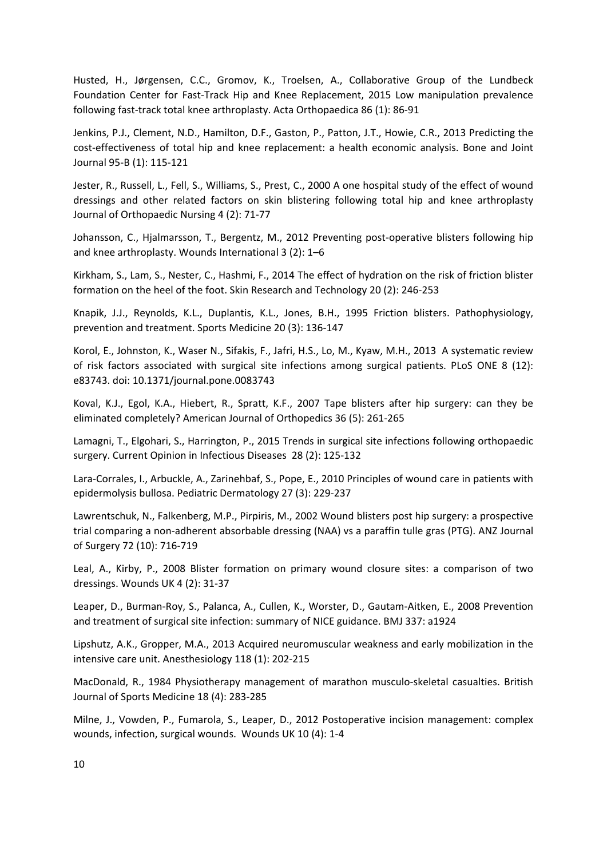Husted, H., Jørgensen, C.C., Gromov, K., Troelsen, A., Collaborative Group of the Lundbeck Foundation Center for Fast-Track Hip and Knee Replacement, 2015 Low manipulation prevalence following fast‐track total knee arthroplasty. Acta Orthopaedica 86 (1): 86‐91

Jenkins, P.J., Clement, N.D., Hamilton, D.F., Gaston, P., Patton, J.T., Howie, C.R., 2013 Predicting the cost-effectiveness of total hip and knee replacement: a health economic analysis. Bone and Joint Journal 95‐B (1): 115‐121

Jester, R., Russell, L., Fell, S., Williams, S., Prest, C., 2000 A one hospital study of the effect of wound dressings and other related factors on skin blistering following total hip and knee arthroplasty Journal of Orthopaedic Nursing 4 (2): 71‐77

Johansson, C., Hjalmarsson, T., Bergentz, M., 2012 Preventing post-operative blisters following hip and knee arthroplasty. Wounds International 3 (2): 1–6

Kirkham, S., Lam, S., Nester, C., Hashmi, F., 2014 The effect of hydration on the risk of friction blister formation on the heel of the foot. Skin Research and Technology 20 (2): 246‐253

Knapik, J.J., Reynolds, K.L., Duplantis, K.L., Jones, B.H., 1995 Friction blisters. Pathophysiology, prevention and treatment. Sports Medicine 20 (3): 136‐147

Korol, E., Johnston, K., Waser N., Sifakis, F., Jafri, H.S., Lo, M., Kyaw, M.H., 2013 A systematic review of risk factors associated with surgical site infections among surgical patients. PLoS ONE 8 (12): e83743. doi: 10.1371/journal.pone.0083743

Koval, K.J., Egol, K.A., Hiebert, R., Spratt, K.F., 2007 Tape blisters after hip surgery: can they be eliminated completely? American Journal of Orthopedics 36 (5): 261‐265

Lamagni, T., Elgohari, S., Harrington, P., 2015 Trends in surgical site infections following orthopaedic surgery. Current Opinion in Infectious Diseases 28 (2): 125‐132

Lara-Corrales, I., Arbuckle, A., Zarinehbaf, S., Pope, E., 2010 Principles of wound care in patients with epidermolysis bullosa. Pediatric Dermatology 27 (3): 229‐237

Lawrentschuk, N., Falkenberg, M.P., Pirpiris, M., 2002 Wound blisters post hip surgery: a prospective trial comparing a non‐adherent absorbable dressing (NAA) vs a paraffin tulle gras (PTG). ANZ Journal of Surgery 72 (10): 716‐719

Leal, A., Kirby, P., 2008 Blister formation on primary wound closure sites: a comparison of two dressings. Wounds UK 4 (2): 31‐37

Leaper, D., Burman‐Roy, S., Palanca, A., Cullen, K., Worster, D., Gautam‐Aitken, E., 2008 Prevention and treatment of surgical site infection: summary of NICE guidance. BMJ 337: a1924

Lipshutz, A.K., Gropper, M.A., 2013 Acquired neuromuscular weakness and early mobilization in the intensive care unit. Anesthesiology 118 (1): 202‐215

MacDonald, R., 1984 Physiotherapy management of marathon musculo‐skeletal casualties. British Journal of Sports Medicine 18 (4): 283‐285

Milne, J., Vowden, P., Fumarola, S., Leaper, D., 2012 Postoperative incision management: complex wounds, infection, surgical wounds. Wounds UK 10 (4): 1‐4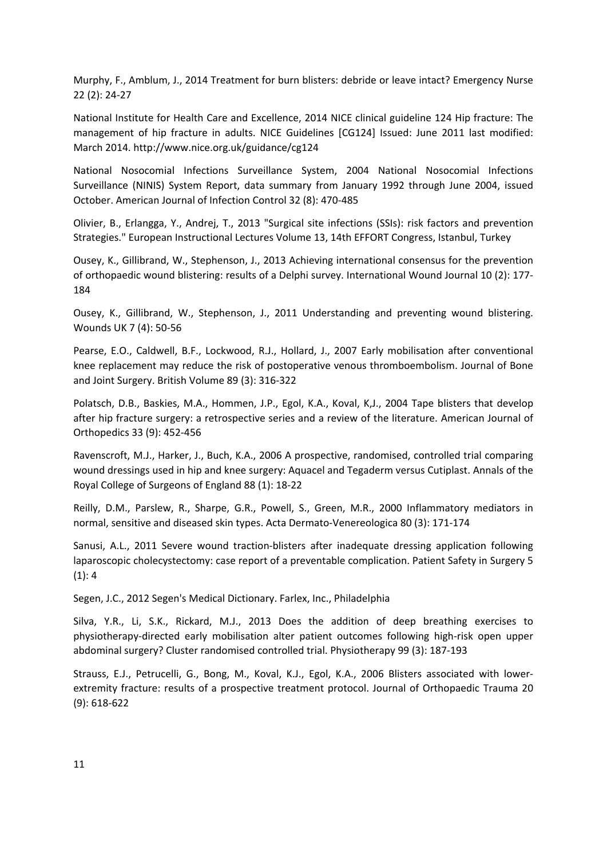Murphy, F., Amblum, J., 2014 Treatment for burn blisters: debride or leave intact? Emergency Nurse 22 (2): 24‐27

National Institute for Health Care and Excellence, 2014 NICE clinical guideline 124 Hip fracture: The management of hip fracture in adults. NICE Guidelines [CG124] Issued: June 2011 last modified: March 2014. http://www.nice.org.uk/guidance/cg124

National Nosocomial Infections Surveillance System, 2004 National Nosocomial Infections Surveillance (NINIS) System Report, data summary from January 1992 through June 2004, issued October. American Journal of Infection Control 32 (8): 470‐485

Olivier, B., Erlangga, Y., Andrej, T., 2013 "Surgical site infections (SSIs): risk factors and prevention Strategies." European Instructional Lectures Volume 13, 14th EFFORT Congress, Istanbul, Turkey

Ousey, K., Gillibrand, W., Stephenson, J., 2013 Achieving international consensus for the prevention of orthopaedic wound blistering: results of a Delphi survey. International Wound Journal 10 (2): 177‐ 184

Ousey, K., Gillibrand, W., Stephenson, J., 2011 Understanding and preventing wound blistering. Wounds UK 7 (4): 50‐56

Pearse, E.O., Caldwell, B.F., Lockwood, R.J., Hollard, J., 2007 Early mobilisation after conventional knee replacement may reduce the risk of postoperative venous thromboembolism. Journal of Bone and Joint Surgery. British Volume 89 (3): 316‐322

Polatsch, D.B., Baskies, M.A., Hommen, J.P., Egol, K.A., Koval, K,J., 2004 Tape blisters that develop after hip fracture surgery: a retrospective series and a review of the literature. American Journal of Orthopedics 33 (9): 452‐456

Ravenscroft, M.J., Harker, J., Buch, K.A., 2006 A prospective, randomised, controlled trial comparing wound dressings used in hip and knee surgery: Aquacel and Tegaderm versus Cutiplast. Annals of the Royal College of Surgeons of England 88 (1): 18‐22

Reilly, D.M., Parslew, R., Sharpe, G.R., Powell, S., Green, M.R., 2000 Inflammatory mediators in normal, sensitive and diseased skin types. Acta Dermato‐Venereologica 80 (3): 171‐174

Sanusi, A.L., 2011 Severe wound traction‐blisters after inadequate dressing application following laparoscopic cholecystectomy: case report of a preventable complication. Patient Safety in Surgery 5  $(1): 4$ 

Segen, J.C., 2012 Segen's Medical Dictionary. Farlex, Inc., Philadelphia

Silva, Y.R., Li, S.K., Rickard, M.J., 2013 Does the addition of deep breathing exercises to physiotherapy‐directed early mobilisation alter patient outcomes following high‐risk open upper abdominal surgery? Cluster randomised controlled trial. Physiotherapy 99 (3): 187‐193

Strauss, E.J., Petrucelli, G., Bong, M., Koval, K.J., Egol, K.A., 2006 Blisters associated with lowerextremity fracture: results of a prospective treatment protocol. Journal of Orthopaedic Trauma 20 (9): 618‐622